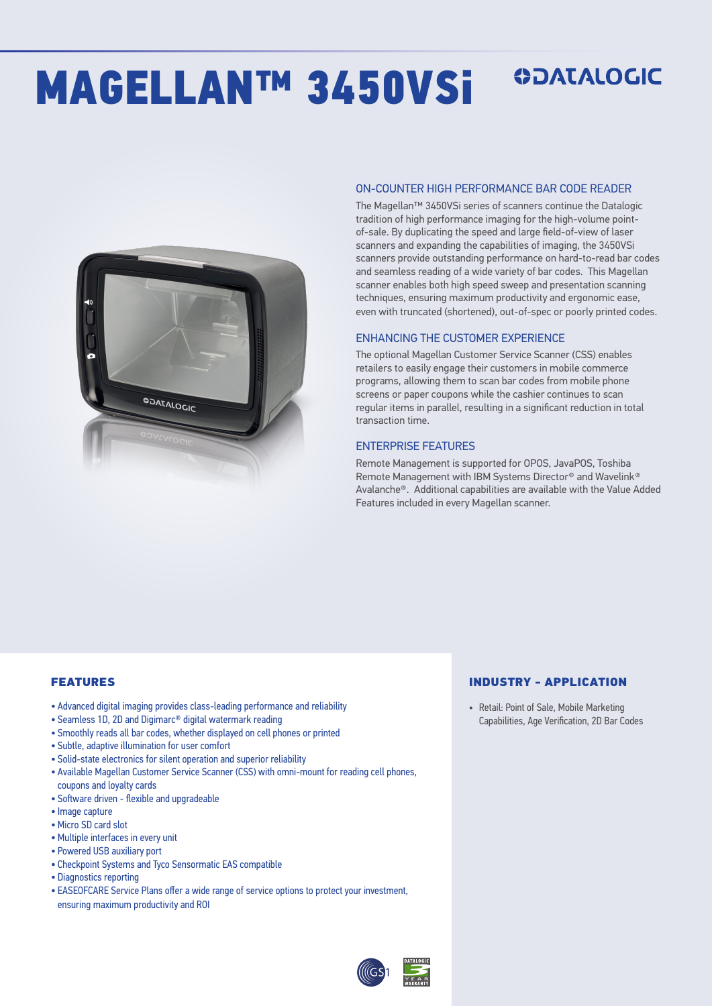# MAGELLAN™ 3450VSi

## **ODATALOGIC**



#### ON-COUNTER HIGH PERFORMANCE BAR CODE READER

The Magellan™ 3450VSi series of scanners continue the Datalogic tradition of high performance imaging for the high-volume pointof-sale. By duplicating the speed and large field-of-view of laser scanners and expanding the capabilities of imaging, the 3450VSi scanners provide outstanding performance on hard-to-read bar codes and seamless reading of a wide variety of bar codes. This Magellan scanner enables both high speed sweep and presentation scanning techniques, ensuring maximum productivity and ergonomic ease, even with truncated (shortened), out-of-spec or poorly printed codes.

#### ENHANCING THE CUSTOMER EXPERIENCE

The optional Magellan Customer Service Scanner (CSS) enables retailers to easily engage their customers in mobile commerce programs, allowing them to scan bar codes from mobile phone screens or paper coupons while the cashier continues to scan regular items in parallel, resulting in a significant reduction in total transaction time.

#### ENTERPRISE FEATURES

Remote Management is supported for OPOS, JavaPOS, Toshiba Remote Management with IBM Systems Director® and Wavelink® Avalanche®. Additional capabilities are available with the Value Added Features included in every Magellan scanner.

#### FEATURES

- Advanced digital imaging provides class-leading performance and reliability
- Seamless 1D, 2D and Digimarc® digital watermark reading
- Smoothly reads all bar codes, whether displayed on cell phones or printed
- Subtle, adaptive illumination for user comfort
- Solid-state electronics for silent operation and superior reliability
- Available Magellan Customer Service Scanner (CSS) with omni-mount for reading cell phones, coupons and loyalty cards
- Software driven flexible and upgradeable
- Image capture
- Micro SD card slot
- Multiple interfaces in every unit
- Powered USB auxiliary port
- Checkpoint Systems and Tyco Sensormatic EAS compatible
- Diagnostics reporting
- EASEOFCARE Service Plans offer a wide range of service options to protect your investment, ensuring maximum productivity and ROI

#### INDUSTRY - APPLICATION

• Retail: Point of Sale, Mobile Marketing Capabilities, Age Verification, 2D Bar Codes